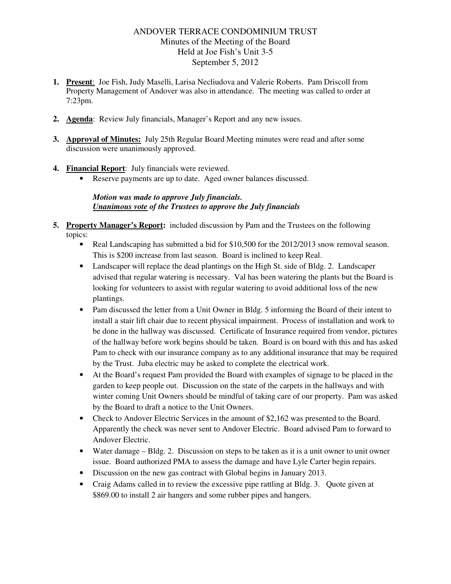## ANDOVER TERRACE CONDOMINIUM TRUST Minutes of the Meeting of the Board Held at Joe Fish's Unit 3-5 September 5, 2012

- **1. Present**: Joe Fish, Judy Maselli, Larisa Necliudova and Valerie Roberts. Pam Driscoll from Property Management of Andover was also in attendance. The meeting was called to order at 7:23pm.
- **2. Agenda**: Review July financials, Manager's Report and any new issues.
- **3. Approval of Minutes:** July 25th Regular Board Meeting minutes were read and after some discussion were unanimously approved.
- **4. Financial Report**: July financials were reviewed.
	- Reserve payments are up to date. Aged owner balances discussed.

## *Motion was made to approve July financials. Unanimous vote of the Trustees to approve the July financials*

- **5. Property Manager's Report:** included discussion by Pam and the Trustees on the following topics:
	- Real Landscaping has submitted a bid for \$10,500 for the 2012/2013 snow removal season. This is \$200 increase from last season. Board is inclined to keep Real.
	- Landscaper will replace the dead plantings on the High St. side of Bldg. 2. Landscaper advised that regular watering is necessary. Val has been watering the plants but the Board is looking for volunteers to assist with regular watering to avoid additional loss of the new plantings.
	- Pam discussed the letter from a Unit Owner in Bldg. 5 informing the Board of their intent to install a stair lift chair due to recent physical impairment. Process of installation and work to be done in the hallway was discussed. Certificate of Insurance required from vendor, pictures of the hallway before work begins should be taken. Board is on board with this and has asked Pam to check with our insurance company as to any additional insurance that may be required by the Trust. Juba electric may be asked to complete the electrical work.
	- At the Board's request Pam provided the Board with examples of signage to be placed in the garden to keep people out. Discussion on the state of the carpets in the hallways and with winter coming Unit Owners should be mindful of taking care of our property. Pam was asked by the Board to draft a notice to the Unit Owners.
	- Check to Andover Electric Services in the amount of \$2,162 was presented to the Board. Apparently the check was never sent to Andover Electric. Board advised Pam to forward to Andover Electric.
	- Water damage Bldg. 2. Discussion on steps to be taken as it is a unit owner to unit owner issue. Board authorized PMA to assess the damage and have Lyle Carter begin repairs.
	- Discussion on the new gas contract with Global begins in January 2013.
	- Craig Adams called in to review the excessive pipe rattling at Bldg. 3. Quote given at \$869.00 to install 2 air hangers and some rubber pipes and hangers.